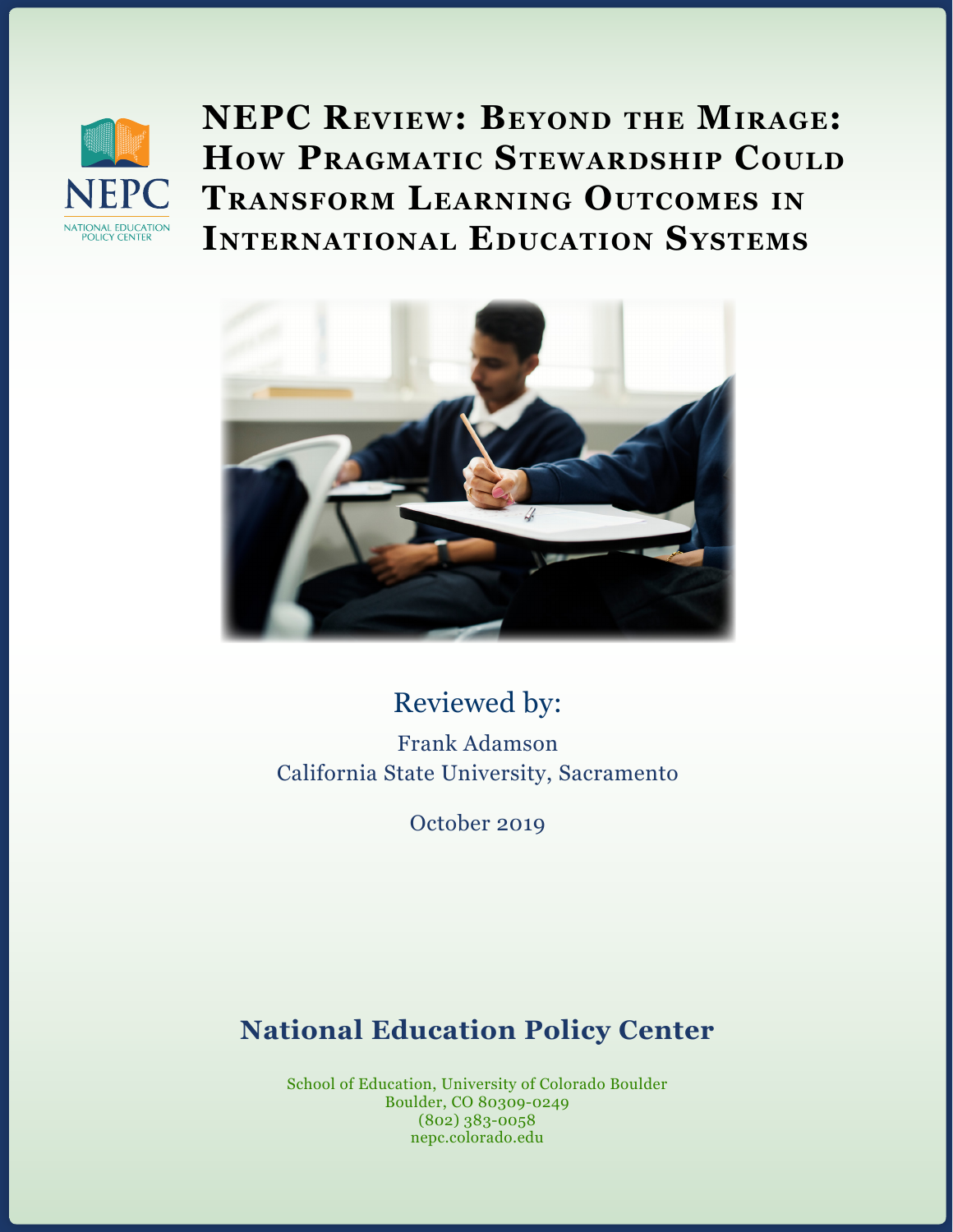

**NEPC Review: Beyond the Mirage: How PRAGMATIC STEWARDSHIP COULD Transform Learning Outcomes in International Education Systems**



# Reviewed by:

Frank Adamson California State University, Sacramento

October 2019

# **National Education Policy Center**

School of Education, University of Colorado Boulder Boulder, CO 80309-0249 (802) 383-0058 nepc.colorado.edu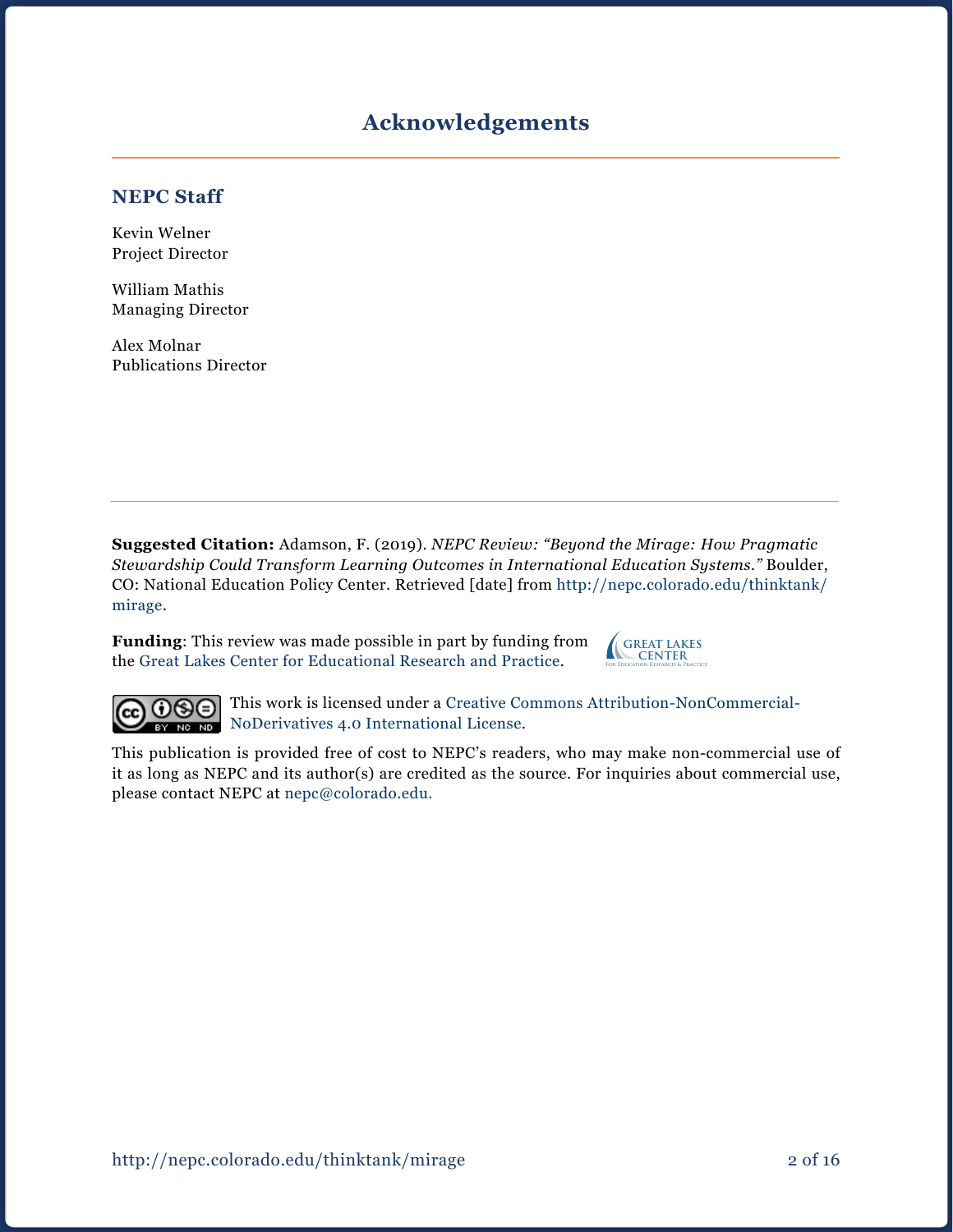# **Acknowledgements**

#### **NEPC Staff**

Kevin Welner Project Director

William Mathis Managing Director

Alex Molnar Publications Director

**Suggested Citation:** Adamson, F. (2019). *NEPC Review: "Beyond the Mirage: How Pragmatic Stewardship Could Transform Learning Outcomes in International Education Systems."* Boulder, CO: National Education Policy Center. Retrieved [date] from [http://nepc.colorado.edu/thinktank/](http://nepc.colorado.edu/thinktank/mirage) mirage.

**Funding**: This review was made possible in part by funding from the [Great Lakes Center for Educational Research and Practice](http://www.greatlakescenter.org).



 $\odot$  $\odot$ (cc

This work is licensed under a [Creative Commons Attribution-NonCommercial-](https://creativecommons.org/licenses/by-nc-nd/4.0/)BY NODerivatives 4.0 International License.

This publication is provided free of cost to NEPC's readers, who may make non-commercial use of it as long as NEPC and its author(s) are credited as the source. For inquiries about commercial use, please contact NEPC at [nepc@colorado.edu](mailto:nepc%40colorado.edu?subject=).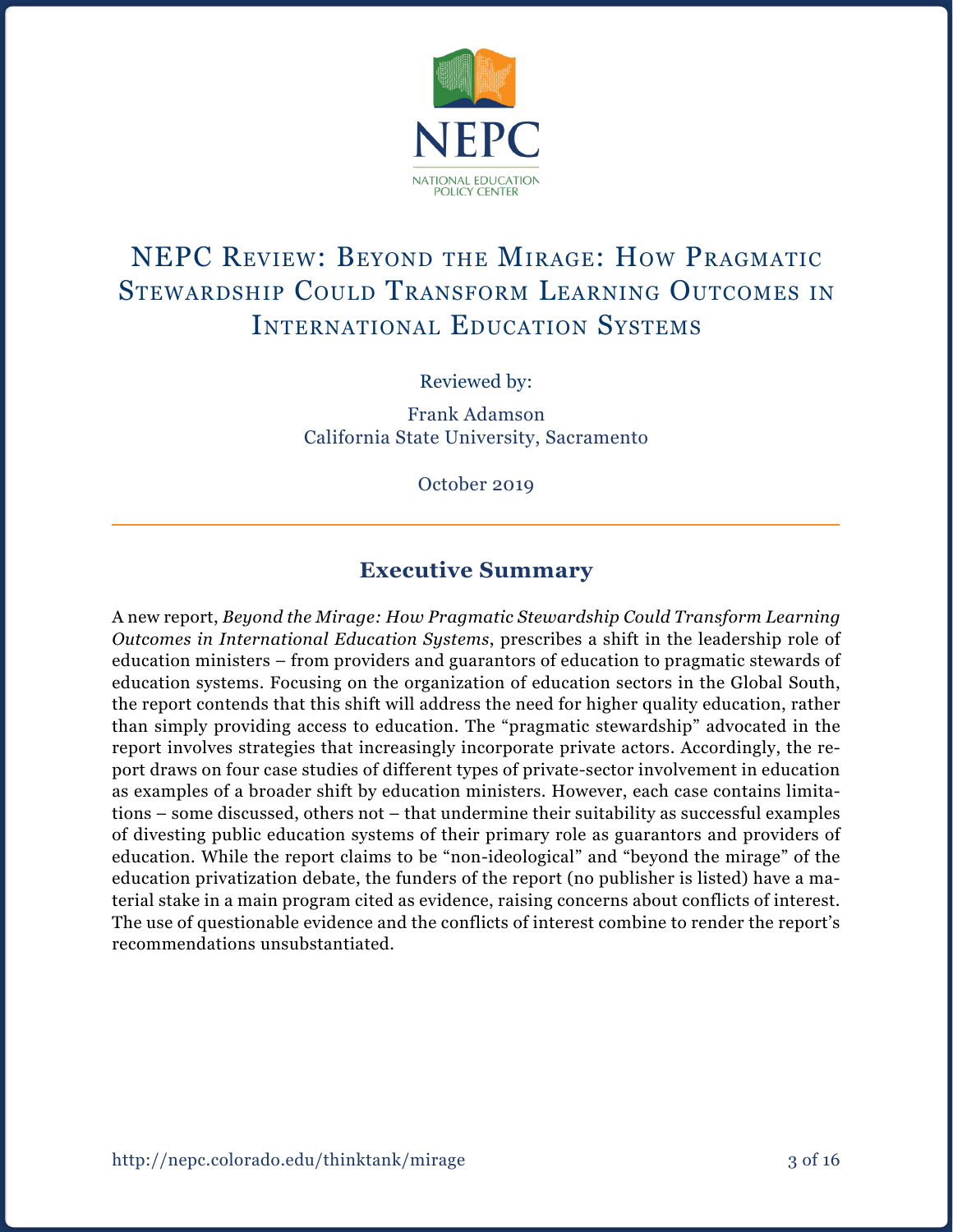

# NEPC Review: Beyond the Mirage: How Pragmatic Stewardship Could Transform Learning Outcomes in International Education Systems

Reviewed by:

Frank Adamson California State University, Sacramento

October 2019

## **Executive Summary**

A new report, *Beyond the Mirage: How Pragmatic Stewardship Could Transform Learning Outcomes in International Education Systems*, prescribes a shift in the leadership role of education ministers – from providers and guarantors of education to pragmatic stewards of education systems. Focusing on the organization of education sectors in the Global South, the report contends that this shift will address the need for higher quality education, rather than simply providing access to education. The "pragmatic stewardship" advocated in the report involves strategies that increasingly incorporate private actors. Accordingly, the report draws on four case studies of different types of private-sector involvement in education as examples of a broader shift by education ministers. However, each case contains limitations – some discussed, others not – that undermine their suitability as successful examples of divesting public education systems of their primary role as guarantors and providers of education. While the report claims to be "non-ideological" and "beyond the mirage" of the education privatization debate, the funders of the report (no publisher is listed) have a material stake in a main program cited as evidence, raising concerns about conflicts of interest. The use of questionable evidence and the conflicts of interest combine to render the report's recommendations unsubstantiated.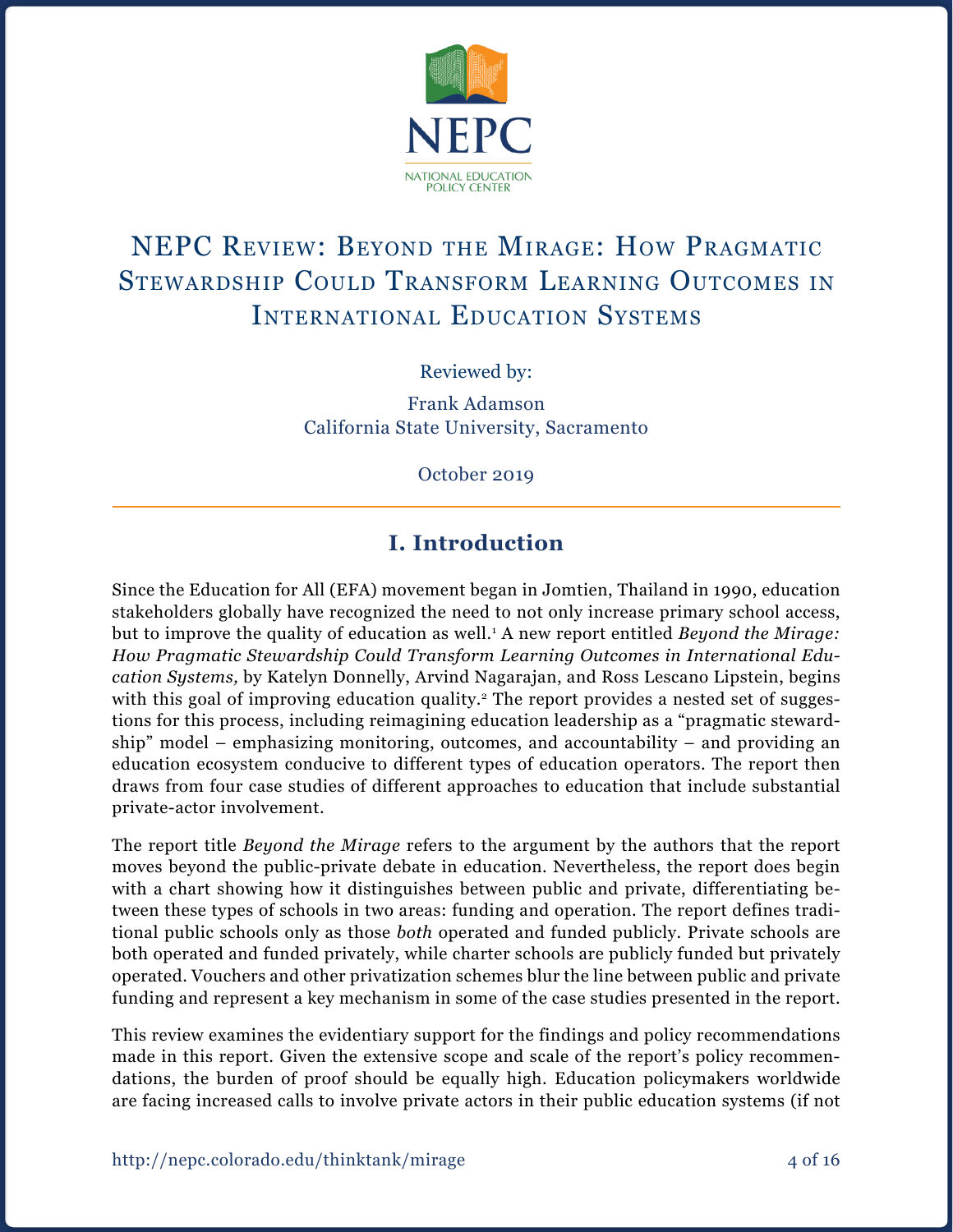

# NEPC Review: Beyond the Mirage: How Pragmatic Stewardship Could Transform Learning Outcomes in International Education Systems

Reviewed by:

Frank Adamson California State University, Sacramento

October 2019

# **I. Introduction**

Since the Education for All (EFA) movement began in Jomtien, Thailand in 1990, education stakeholders globally have recognized the need to not only increase primary school access, but to improve the quality of education as well.<sup>1</sup> A new report entitled *Beyond the Mirage: How Pragmatic Stewardship Could Transform Learning Outcomes in International Education Systems,* by Katelyn Donnelly, Arvind Nagarajan, and Ross Lescano Lipstein, begins with this goal of improving education quality.<sup>2</sup> The report provides a nested set of suggestions for this process, including reimagining education leadership as a "pragmatic stewardship" model – emphasizing monitoring, outcomes, and accountability – and providing an education ecosystem conducive to different types of education operators. The report then draws from four case studies of different approaches to education that include substantial private-actor involvement.

The report title *Beyond the Mirage* refers to the argument by the authors that the report moves beyond the public-private debate in education. Nevertheless, the report does begin with a chart showing how it distinguishes between public and private, differentiating between these types of schools in two areas: funding and operation. The report defines traditional public schools only as those *both* operated and funded publicly. Private schools are both operated and funded privately, while charter schools are publicly funded but privately operated. Vouchers and other privatization schemes blur the line between public and private funding and represent a key mechanism in some of the case studies presented in the report.

This review examines the evidentiary support for the findings and policy recommendations made in this report. Given the extensive scope and scale of the report's policy recommendations, the burden of proof should be equally high. Education policymakers worldwide are facing increased calls to involve private actors in their public education systems (if not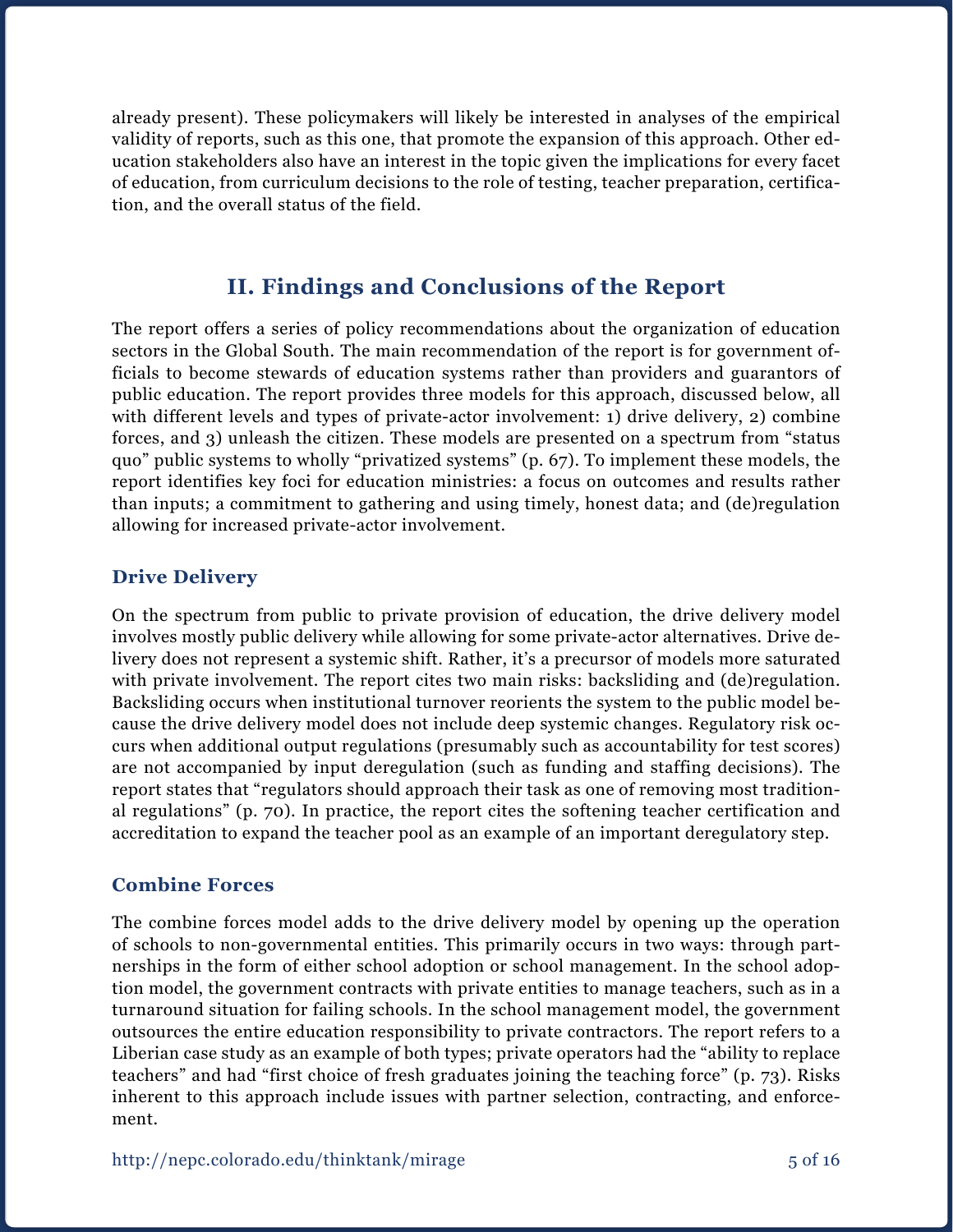already present). These policymakers will likely be interested in analyses of the empirical validity of reports, such as this one, that promote the expansion of this approach. Other education stakeholders also have an interest in the topic given the implications for every facet of education, from curriculum decisions to the role of testing, teacher preparation, certification, and the overall status of the field.

## **II. Findings and Conclusions of the Report**

The report offers a series of policy recommendations about the organization of education sectors in the Global South. The main recommendation of the report is for government officials to become stewards of education systems rather than providers and guarantors of public education. The report provides three models for this approach, discussed below, all with different levels and types of private-actor involvement: 1) drive delivery, 2) combine forces, and 3) unleash the citizen. These models are presented on a spectrum from "status quo" public systems to wholly "privatized systems" (p. 67). To implement these models, the report identifies key foci for education ministries: a focus on outcomes and results rather than inputs; a commitment to gathering and using timely, honest data; and (de)regulation allowing for increased private-actor involvement.

## **Drive Delivery**

On the spectrum from public to private provision of education, the drive delivery model involves mostly public delivery while allowing for some private-actor alternatives. Drive delivery does not represent a systemic shift. Rather, it's a precursor of models more saturated with private involvement. The report cites two main risks: backsliding and (de)regulation. Backsliding occurs when institutional turnover reorients the system to the public model because the drive delivery model does not include deep systemic changes. Regulatory risk occurs when additional output regulations (presumably such as accountability for test scores) are not accompanied by input deregulation (such as funding and staffing decisions). The report states that "regulators should approach their task as one of removing most traditional regulations" (p. 70). In practice, the report cites the softening teacher certification and accreditation to expand the teacher pool as an example of an important deregulatory step.

### **Combine Forces**

The combine forces model adds to the drive delivery model by opening up the operation of schools to non-governmental entities. This primarily occurs in two ways: through partnerships in the form of either school adoption or school management. In the school adoption model, the government contracts with private entities to manage teachers, such as in a turnaround situation for failing schools. In the school management model, the government outsources the entire education responsibility to private contractors. The report refers to a Liberian case study as an example of both types; private operators had the "ability to replace teachers" and had "first choice of fresh graduates joining the teaching force" (p. 73). Risks inherent to this approach include issues with partner selection, contracting, and enforcement.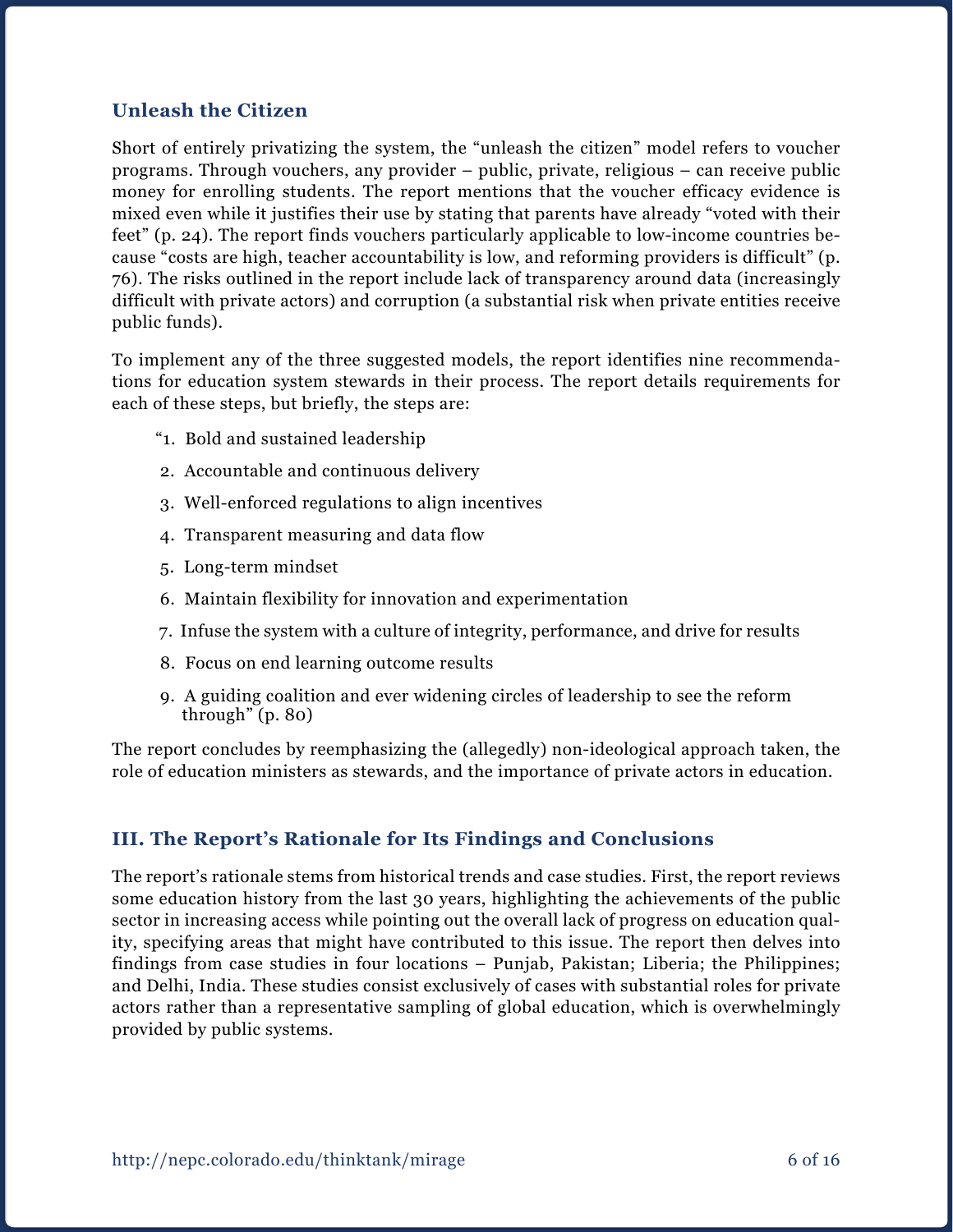## **Unleash the Citizen**

Short of entirely privatizing the system, the "unleash the citizen" model refers to voucher programs. Through vouchers, any provider – public, private, religious – can receive public money for enrolling students. The report mentions that the voucher efficacy evidence is mixed even while it justifies their use by stating that parents have already "voted with their feet" (p. 24). The report finds vouchers particularly applicable to low-income countries because "costs are high, teacher accountability is low, and reforming providers is difficult" (p. 76). The risks outlined in the report include lack of transparency around data (increasingly difficult with private actors) and corruption (a substantial risk when private entities receive public funds).

To implement any of the three suggested models, the report identifies nine recommendations for education system stewards in their process. The report details requirements for each of these steps, but briefly, the steps are:

- "1. Bold and sustained leadership
- 2. Accountable and continuous delivery
- 3. Well-enforced regulations to align incentives
- 4. Transparent measuring and data flow
- 5. Long-term mindset
- 6. Maintain flexibility for innovation and experimentation
- 7. Infuse the system with a culture of integrity, performance, and drive for results
- 8. Focus on end learning outcome results
- 9. A guiding coalition and ever widening circles of leadership to see the reform through" (p. 80)

The report concludes by reemphasizing the (allegedly) non-ideological approach taken, the role of education ministers as stewards, and the importance of private actors in education.

### **III. The Report's Rationale for Its Findings and Conclusions**

The report's rationale stems from historical trends and case studies. First, the report reviews some education history from the last 30 years, highlighting the achievements of the public sector in increasing access while pointing out the overall lack of progress on education quality, specifying areas that might have contributed to this issue. The report then delves into findings from case studies in four locations – Punjab, Pakistan; Liberia; the Philippines; and Delhi, India. These studies consist exclusively of cases with substantial roles for private actors rather than a representative sampling of global education, which is overwhelmingly provided by public systems.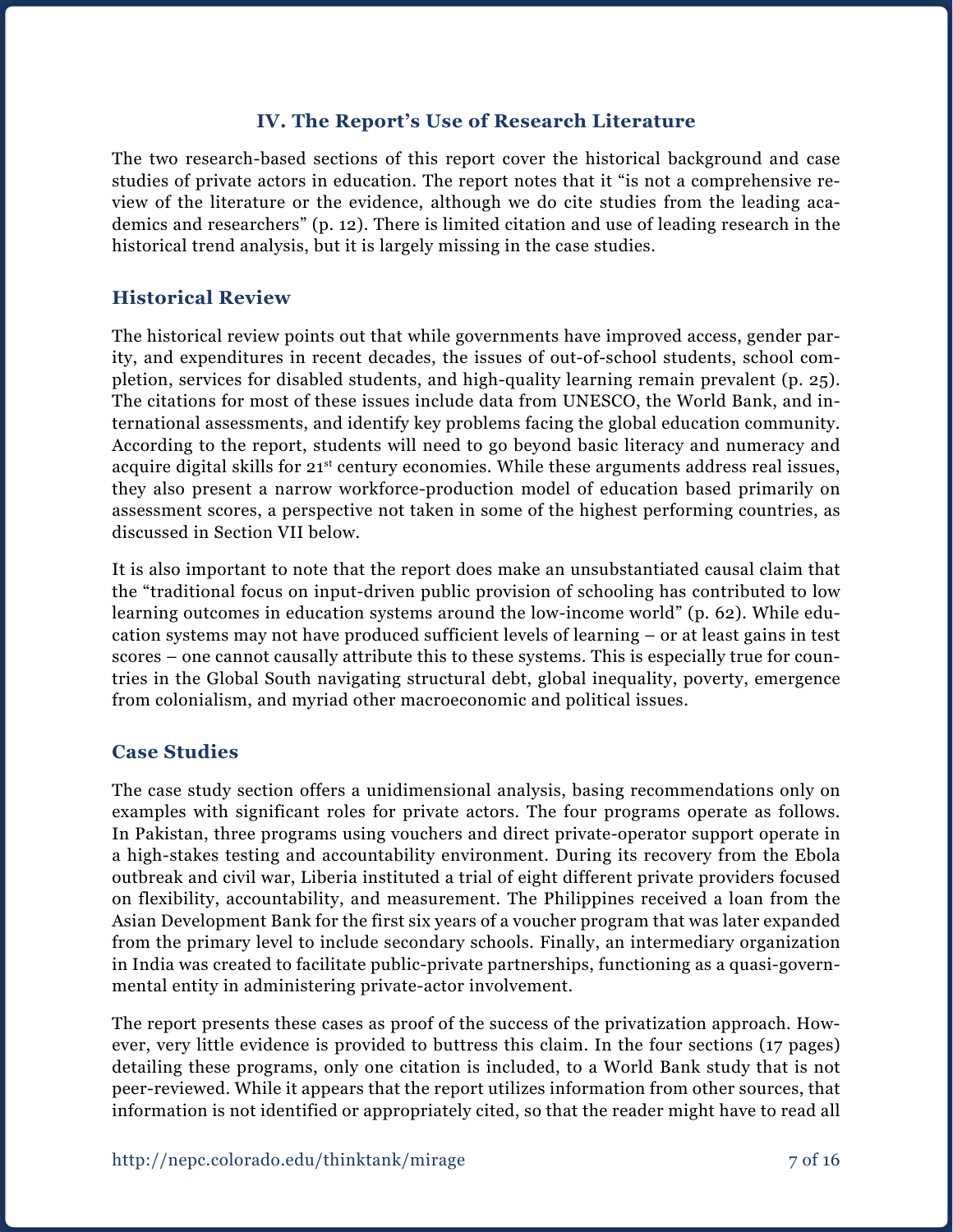#### **IV. The Report's Use of Research Literature**

The two research-based sections of this report cover the historical background and case studies of private actors in education. The report notes that it "is not a comprehensive review of the literature or the evidence, although we do cite studies from the leading academics and researchers" (p. 12). There is limited citation and use of leading research in the historical trend analysis, but it is largely missing in the case studies.

#### **Historical Review**

The historical review points out that while governments have improved access, gender parity, and expenditures in recent decades, the issues of out-of-school students, school completion, services for disabled students, and high-quality learning remain prevalent (p. 25). The citations for most of these issues include data from UNESCO, the World Bank, and international assessments, and identify key problems facing the global education community. According to the report, students will need to go beyond basic literacy and numeracy and acquire digital skills for 21<sup>st</sup> century economies. While these arguments address real issues, they also present a narrow workforce-production model of education based primarily on assessment scores, a perspective not taken in some of the highest performing countries, as discussed in Section VII below.

It is also important to note that the report does make an unsubstantiated causal claim that the "traditional focus on input-driven public provision of schooling has contributed to low learning outcomes in education systems around the low-income world" (p. 62). While education systems may not have produced sufficient levels of learning – or at least gains in test scores – one cannot causally attribute this to these systems. This is especially true for countries in the Global South navigating structural debt, global inequality, poverty, emergence from colonialism, and myriad other macroeconomic and political issues.

#### **Case Studies**

The case study section offers a unidimensional analysis, basing recommendations only on examples with significant roles for private actors. The four programs operate as follows. In Pakistan, three programs using vouchers and direct private-operator support operate in a high-stakes testing and accountability environment. During its recovery from the Ebola outbreak and civil war, Liberia instituted a trial of eight different private providers focused on flexibility, accountability, and measurement. The Philippines received a loan from the Asian Development Bank for the first six years of a voucher program that was later expanded from the primary level to include secondary schools. Finally, an intermediary organization in India was created to facilitate public-private partnerships, functioning as a quasi-governmental entity in administering private-actor involvement.

The report presents these cases as proof of the success of the privatization approach. However, very little evidence is provided to buttress this claim. In the four sections (17 pages) detailing these programs, only one citation is included, to a World Bank study that is not peer-reviewed. While it appears that the report utilizes information from other sources, that information is not identified or appropriately cited, so that the reader might have to read all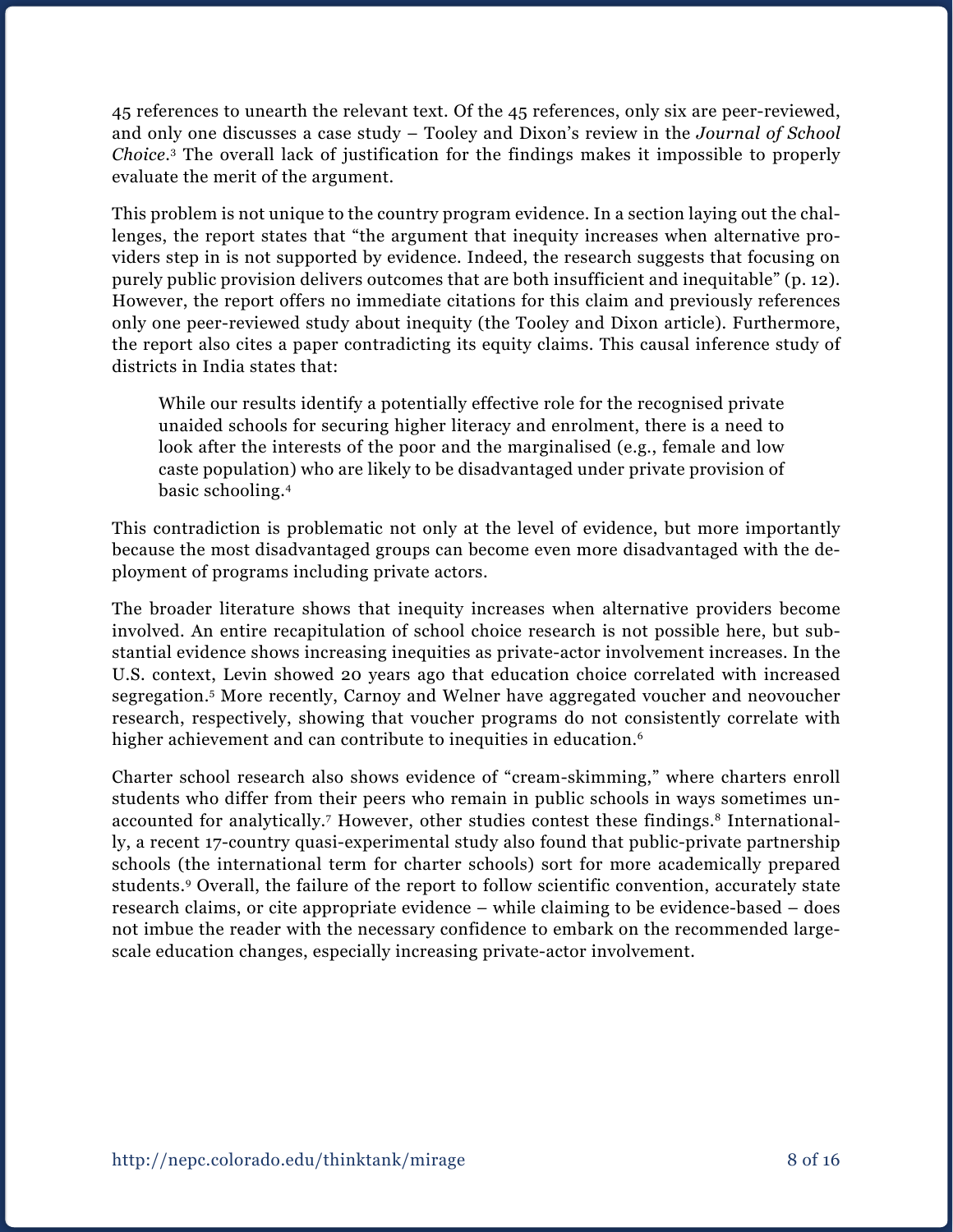45 references to unearth the relevant text. Of the 45 references, only six are peer-reviewed, and only one discusses a case study – Tooley and Dixon's review in the *Journal of School Choice*. 3 The overall lack of justification for the findings makes it impossible to properly evaluate the merit of the argument.

This problem is not unique to the country program evidence. In a section laying out the challenges, the report states that "the argument that inequity increases when alternative providers step in is not supported by evidence. Indeed, the research suggests that focusing on purely public provision delivers outcomes that are both insufficient and inequitable" (p. 12). However, the report offers no immediate citations for this claim and previously references only one peer-reviewed study about inequity (the Tooley and Dixon article). Furthermore, the report also cites a paper contradicting its equity claims. This causal inference study of districts in India states that:

While our results identify a potentially effective role for the recognised private unaided schools for securing higher literacy and enrolment, there is a need to look after the interests of the poor and the marginalised (e.g., female and low caste population) who are likely to be disadvantaged under private provision of basic schooling.4

This contradiction is problematic not only at the level of evidence, but more importantly because the most disadvantaged groups can become even more disadvantaged with the deployment of programs including private actors.

The broader literature shows that inequity increases when alternative providers become involved. An entire recapitulation of school choice research is not possible here, but substantial evidence shows increasing inequities as private-actor involvement increases. In the U.S. context, Levin showed 20 years ago that education choice correlated with increased segregation.5 More recently, Carnoy and Welner have aggregated voucher and neovoucher research, respectively, showing that voucher programs do not consistently correlate with higher achievement and can contribute to inequities in education.<sup>6</sup>

Charter school research also shows evidence of "cream-skimming," where charters enroll students who differ from their peers who remain in public schools in ways sometimes unaccounted for analytically.<sup>7</sup> However, other studies contest these findings.<sup>8</sup> Internationally, a recent 17-country quasi-experimental study also found that public-private partnership schools (the international term for charter schools) sort for more academically prepared students.9 Overall, the failure of the report to follow scientific convention, accurately state research claims, or cite appropriate evidence – while claiming to be evidence-based – does not imbue the reader with the necessary confidence to embark on the recommended largescale education changes, especially increasing private-actor involvement.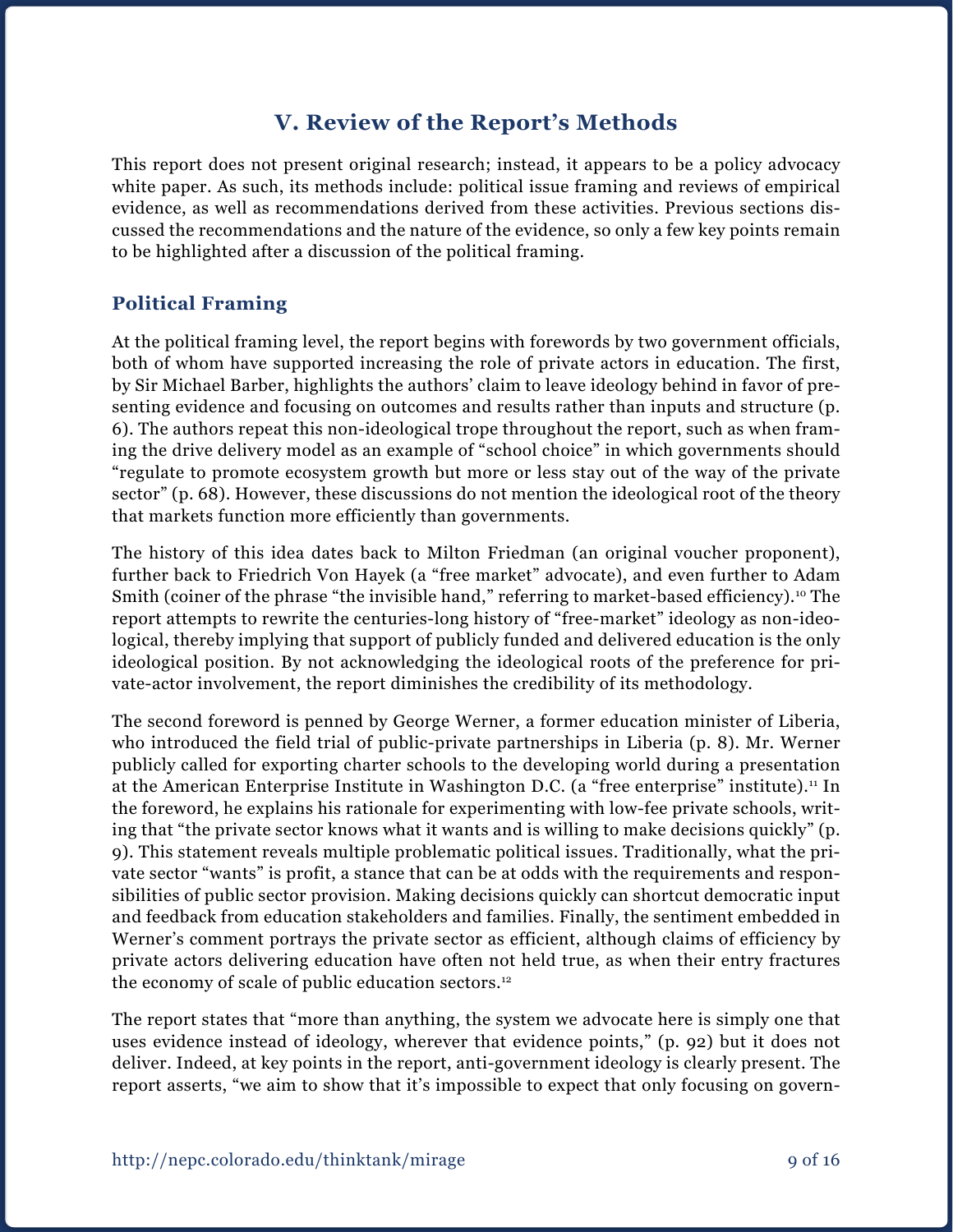# **V. Review of the Report's Methods**

This report does not present original research; instead, it appears to be a policy advocacy white paper. As such, its methods include: political issue framing and reviews of empirical evidence, as well as recommendations derived from these activities. Previous sections discussed the recommendations and the nature of the evidence, so only a few key points remain to be highlighted after a discussion of the political framing.

## **Political Framing**

At the political framing level, the report begins with forewords by two government officials, both of whom have supported increasing the role of private actors in education. The first, by Sir Michael Barber, highlights the authors' claim to leave ideology behind in favor of presenting evidence and focusing on outcomes and results rather than inputs and structure (p. 6). The authors repeat this non-ideological trope throughout the report, such as when framing the drive delivery model as an example of "school choice" in which governments should "regulate to promote ecosystem growth but more or less stay out of the way of the private sector" (p. 68). However, these discussions do not mention the ideological root of the theory that markets function more efficiently than governments.

The history of this idea dates back to Milton Friedman (an original voucher proponent), further back to Friedrich Von Hayek (a "free market" advocate), and even further to Adam Smith (coiner of the phrase "the invisible hand," referring to market-based efficiency).<sup>10</sup> The report attempts to rewrite the centuries-long history of "free-market" ideology as non-ideological, thereby implying that support of publicly funded and delivered education is the only ideological position. By not acknowledging the ideological roots of the preference for private-actor involvement, the report diminishes the credibility of its methodology.

The second foreword is penned by George Werner, a former education minister of Liberia, who introduced the field trial of public-private partnerships in Liberia (p. 8). Mr. Werner publicly called for exporting charter schools to the developing world during a presentation at the American Enterprise Institute in Washington D.C. (a "free enterprise" institute).<sup>11</sup> In the foreword, he explains his rationale for experimenting with low-fee private schools, writing that "the private sector knows what it wants and is willing to make decisions quickly" (p. 9). This statement reveals multiple problematic political issues. Traditionally, what the private sector "wants" is profit, a stance that can be at odds with the requirements and responsibilities of public sector provision. Making decisions quickly can shortcut democratic input and feedback from education stakeholders and families. Finally, the sentiment embedded in Werner's comment portrays the private sector as efficient, although claims of efficiency by private actors delivering education have often not held true, as when their entry fractures the economy of scale of public education sectors.12

The report states that "more than anything, the system we advocate here is simply one that uses evidence instead of ideology, wherever that evidence points," (p. 92) but it does not deliver. Indeed, at key points in the report, anti-government ideology is clearly present. The report asserts, "we aim to show that it's impossible to expect that only focusing on govern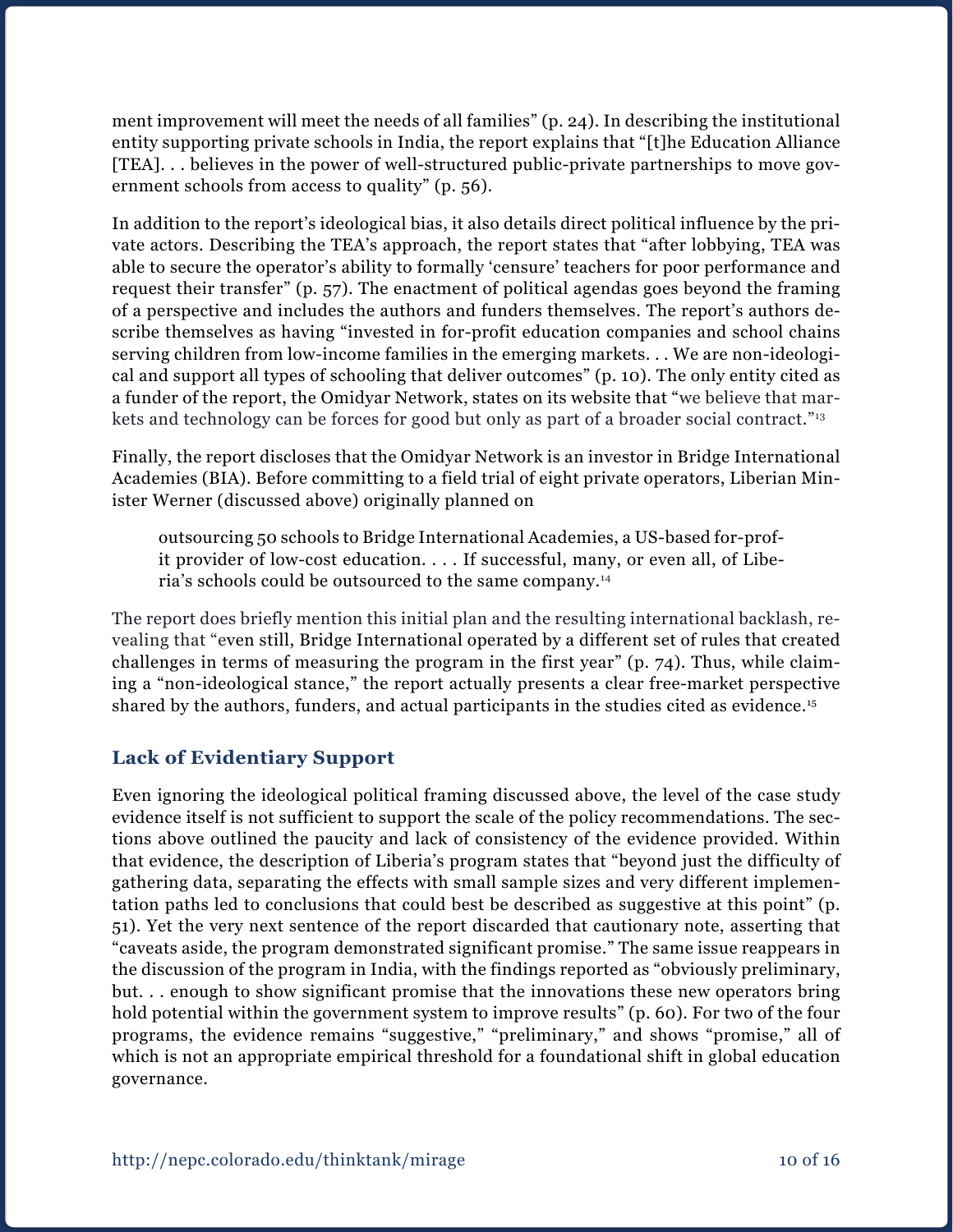ment improvement will meet the needs of all families" (p. 24). In describing the institutional entity supporting private schools in India, the report explains that "[t]he Education Alliance [TEA]. . . believes in the power of well-structured public-private partnerships to move government schools from access to quality" (p. 56).

In addition to the report's ideological bias, it also details direct political influence by the private actors. Describing the TEA's approach, the report states that "after lobbying, TEA was able to secure the operator's ability to formally 'censure' teachers for poor performance and request their transfer" (p. 57). The enactment of political agendas goes beyond the framing of a perspective and includes the authors and funders themselves. The report's authors describe themselves as having "invested in for-profit education companies and school chains serving children from low-income families in the emerging markets. . . We are non-ideological and support all types of schooling that deliver outcomes" (p. 10). The only entity cited as a funder of the report, the Omidyar Network, states on its website that "we believe that markets and technology can be forces for good but only as part of a broader social contract."<sup>13</sup>

Finally, the report discloses that the Omidyar Network is an investor in Bridge International Academies (BIA). Before committing to a field trial of eight private operators, Liberian Minister Werner (discussed above) originally planned on

outsourcing 50 schools to Bridge International Academies, a US-based for-profit provider of low-cost education. . . . If successful, many, or even all, of Liberia's schools could be outsourced to the same company.14

The report does briefly mention this initial plan and the resulting international backlash, revealing that "even still, Bridge International operated by a different set of rules that created challenges in terms of measuring the program in the first year" (p. 74). Thus, while claiming a "non-ideological stance," the report actually presents a clear free-market perspective shared by the authors, funders, and actual participants in the studies cited as evidence.<sup>15</sup>

### **Lack of Evidentiary Support**

Even ignoring the ideological political framing discussed above, the level of the case study evidence itself is not sufficient to support the scale of the policy recommendations. The sections above outlined the paucity and lack of consistency of the evidence provided. Within that evidence, the description of Liberia's program states that "beyond just the difficulty of gathering data, separating the effects with small sample sizes and very different implementation paths led to conclusions that could best be described as suggestive at this point" (p. 51). Yet the very next sentence of the report discarded that cautionary note, asserting that "caveats aside, the program demonstrated significant promise." The same issue reappears in the discussion of the program in India, with the findings reported as "obviously preliminary, but. . . enough to show significant promise that the innovations these new operators bring hold potential within the government system to improve results" (p. 60). For two of the four programs, the evidence remains "suggestive," "preliminary," and shows "promise," all of which is not an appropriate empirical threshold for a foundational shift in global education governance.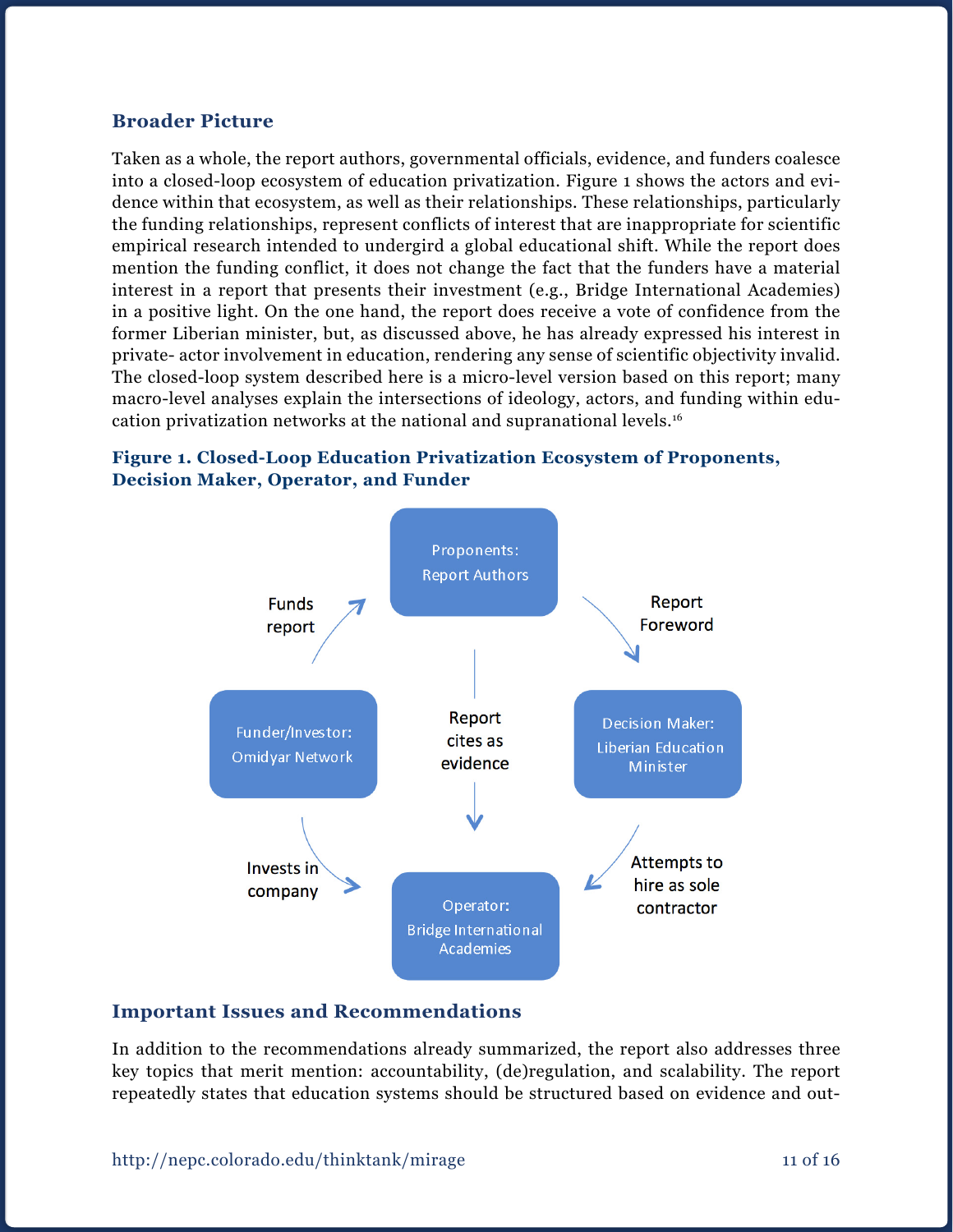#### **Broader Picture**

Taken as a whole, the report authors, governmental officials, evidence, and funders coalesce into a closed-loop ecosystem of education privatization. Figure 1 shows the actors and evidence within that ecosystem, as well as their relationships. These relationships, particularly the funding relationships, represent conflicts of interest that are inappropriate for scientific empirical research intended to undergird a global educational shift. While the report does mention the funding conflict, it does not change the fact that the funders have a material interest in a report that presents their investment (e.g., Bridge International Academies) in a positive light. On the one hand, the report does receive a vote of confidence from the former Liberian minister, but, as discussed above, he has already expressed his interest in private- actor involvement in education, rendering any sense of scientific objectivity invalid. The closed-loop system described here is a micro-level version based on this report; many macro-level analyses explain the intersections of ideology, actors, and funding within education privatization networks at the national and supranational levels.16

#### **Figure 1. Closed-Loop Education Privatization Ecosystem of Proponents, Decision Maker, Operator, and Funder**



### **Important Issues and Recommendations**

In addition to the recommendations already summarized, the report also addresses three key topics that merit mention: accountability, (de)regulation, and scalability. The report repeatedly states that education systems should be structured based on evidence and out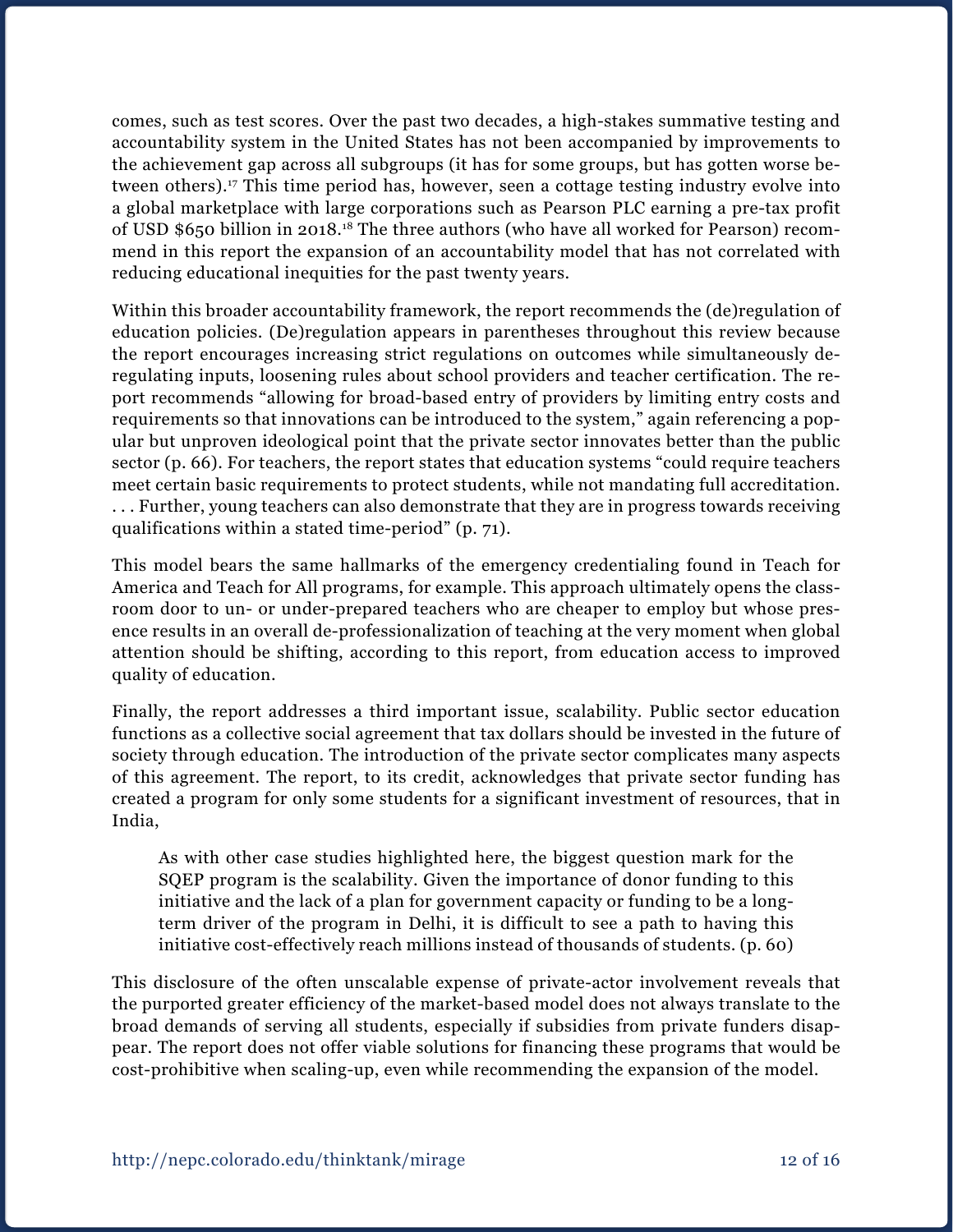comes, such as test scores. Over the past two decades, a high-stakes summative testing and accountability system in the United States has not been accompanied by improvements to the achievement gap across all subgroups (it has for some groups, but has gotten worse between others).<sup>17</sup> This time period has, however, seen a cottage testing industry evolve into a global marketplace with large corporations such as Pearson PLC earning a pre-tax profit of USD \$650 billion in 2018.18 The three authors (who have all worked for Pearson) recommend in this report the expansion of an accountability model that has not correlated with reducing educational inequities for the past twenty years.

Within this broader accountability framework, the report recommends the (de)regulation of education policies. (De)regulation appears in parentheses throughout this review because the report encourages increasing strict regulations on outcomes while simultaneously deregulating inputs, loosening rules about school providers and teacher certification. The report recommends "allowing for broad-based entry of providers by limiting entry costs and requirements so that innovations can be introduced to the system," again referencing a popular but unproven ideological point that the private sector innovates better than the public sector (p. 66). For teachers, the report states that education systems "could require teachers meet certain basic requirements to protect students, while not mandating full accreditation. . . . Further, young teachers can also demonstrate that they are in progress towards receiving qualifications within a stated time-period" (p. 71).

This model bears the same hallmarks of the emergency credentialing found in Teach for America and Teach for All programs, for example. This approach ultimately opens the classroom door to un- or under-prepared teachers who are cheaper to employ but whose presence results in an overall de-professionalization of teaching at the very moment when global attention should be shifting, according to this report, from education access to improved quality of education.

Finally, the report addresses a third important issue, scalability. Public sector education functions as a collective social agreement that tax dollars should be invested in the future of society through education. The introduction of the private sector complicates many aspects of this agreement. The report, to its credit, acknowledges that private sector funding has created a program for only some students for a significant investment of resources, that in India,

As with other case studies highlighted here, the biggest question mark for the SQEP program is the scalability. Given the importance of donor funding to this initiative and the lack of a plan for government capacity or funding to be a longterm driver of the program in Delhi, it is difficult to see a path to having this initiative cost-effectively reach millions instead of thousands of students. (p. 60)

This disclosure of the often unscalable expense of private-actor involvement reveals that the purported greater efficiency of the market-based model does not always translate to the broad demands of serving all students, especially if subsidies from private funders disappear. The report does not offer viable solutions for financing these programs that would be cost-prohibitive when scaling-up, even while recommending the expansion of the model.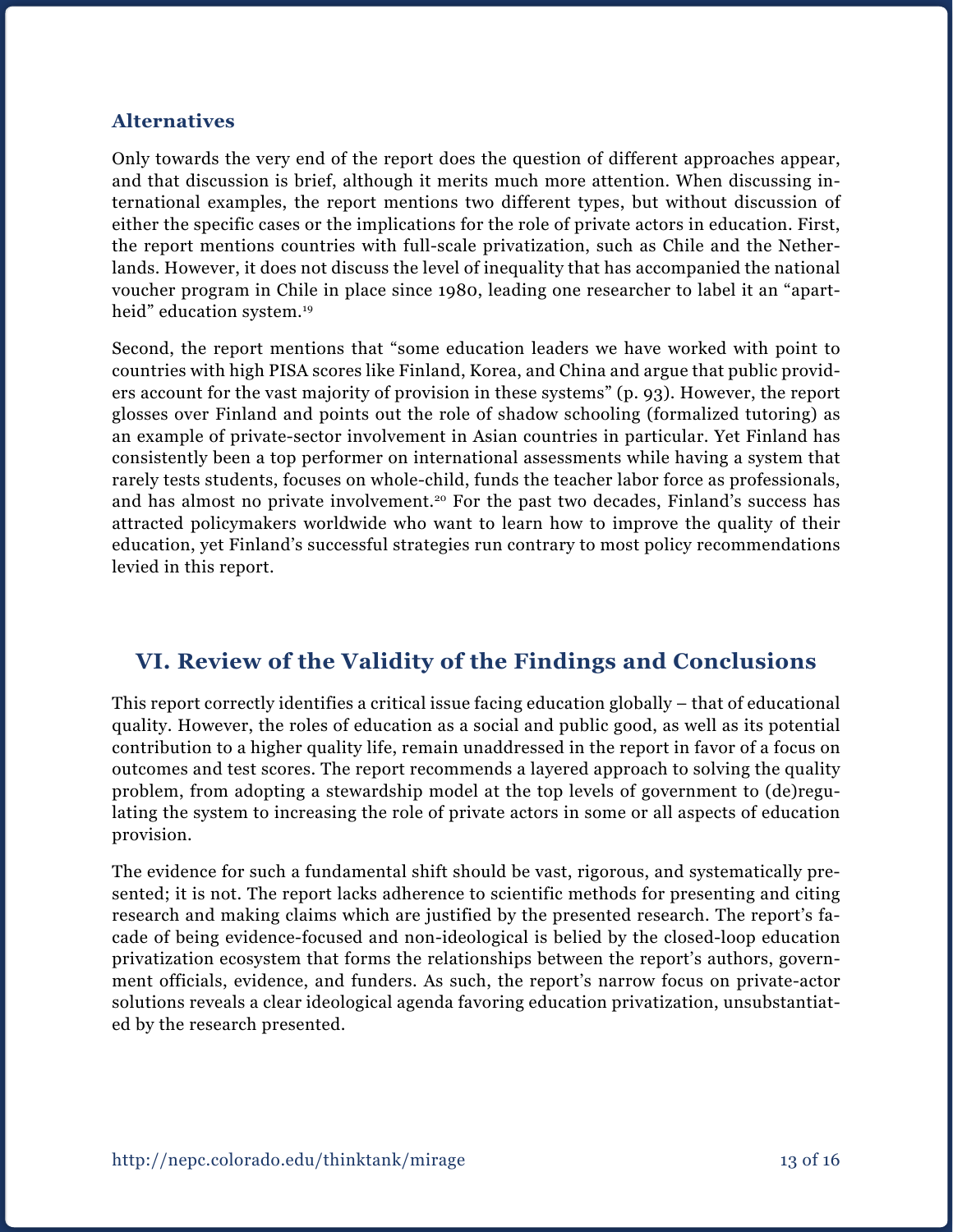#### **Alternatives**

Only towards the very end of the report does the question of different approaches appear, and that discussion is brief, although it merits much more attention. When discussing international examples, the report mentions two different types, but without discussion of either the specific cases or the implications for the role of private actors in education. First, the report mentions countries with full-scale privatization, such as Chile and the Netherlands. However, it does not discuss the level of inequality that has accompanied the national voucher program in Chile in place since 1980, leading one researcher to label it an "apartheid" education system.<sup>19</sup>

Second, the report mentions that "some education leaders we have worked with point to countries with high PISA scores like Finland, Korea, and China and argue that public providers account for the vast majority of provision in these systems" (p. 93). However, the report glosses over Finland and points out the role of shadow schooling (formalized tutoring) as an example of private-sector involvement in Asian countries in particular. Yet Finland has consistently been a top performer on international assessments while having a system that rarely tests students, focuses on whole-child, funds the teacher labor force as professionals, and has almost no private involvement.<sup>20</sup> For the past two decades, Finland's success has attracted policymakers worldwide who want to learn how to improve the quality of their education, yet Finland's successful strategies run contrary to most policy recommendations levied in this report.

# **VI. Review of the Validity of the Findings and Conclusions**

This report correctly identifies a critical issue facing education globally – that of educational quality. However, the roles of education as a social and public good, as well as its potential contribution to a higher quality life, remain unaddressed in the report in favor of a focus on outcomes and test scores. The report recommends a layered approach to solving the quality problem, from adopting a stewardship model at the top levels of government to (de)regulating the system to increasing the role of private actors in some or all aspects of education provision.

The evidence for such a fundamental shift should be vast, rigorous, and systematically presented; it is not. The report lacks adherence to scientific methods for presenting and citing research and making claims which are justified by the presented research. The report's facade of being evidence-focused and non-ideological is belied by the closed-loop education privatization ecosystem that forms the relationships between the report's authors, government officials, evidence, and funders. As such, the report's narrow focus on private-actor solutions reveals a clear ideological agenda favoring education privatization, unsubstantiated by the research presented.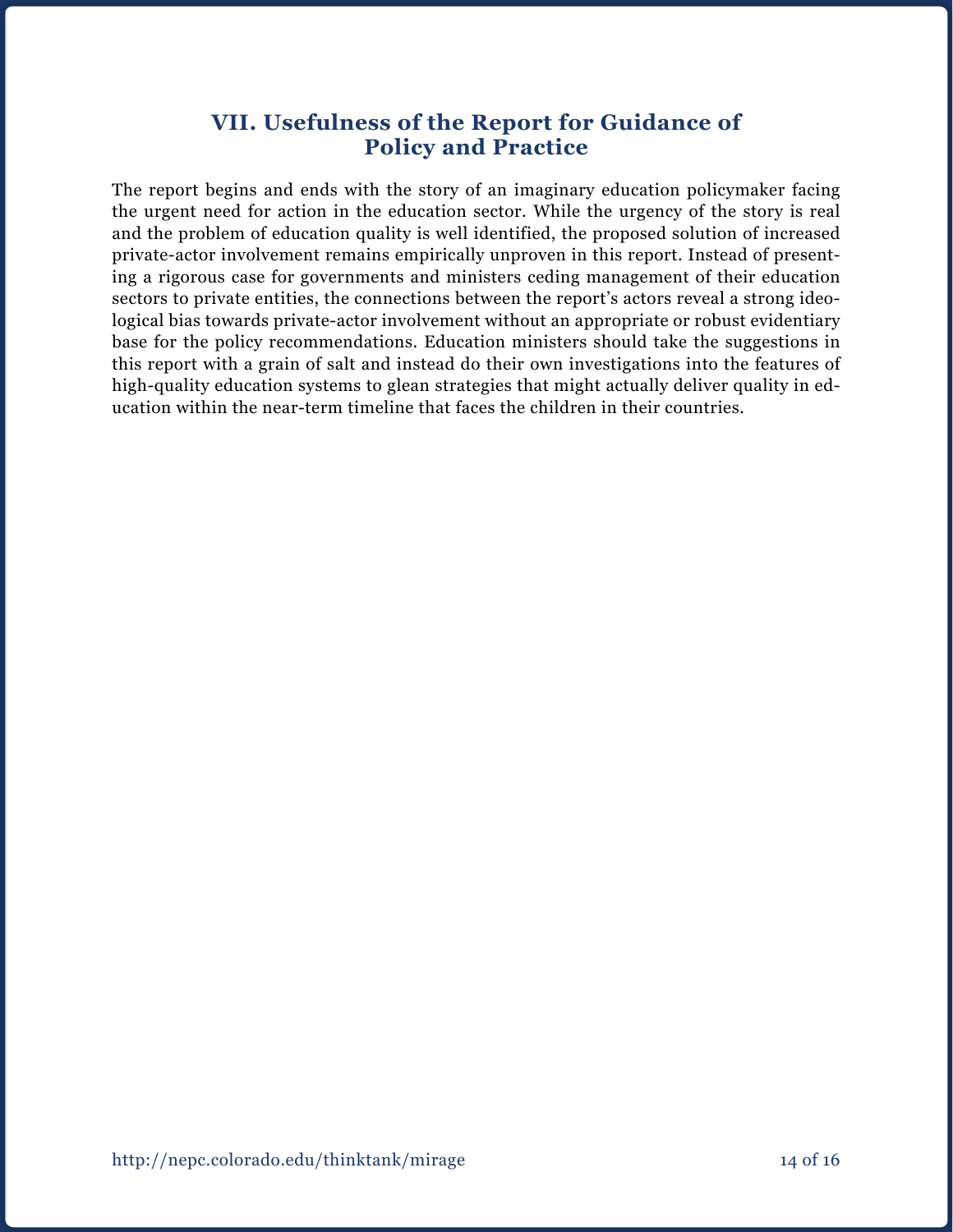## **VII. Usefulness of the Report for Guidance of Policy and Practice**

The report begins and ends with the story of an imaginary education policymaker facing the urgent need for action in the education sector. While the urgency of the story is real and the problem of education quality is well identified, the proposed solution of increased private-actor involvement remains empirically unproven in this report. Instead of presenting a rigorous case for governments and ministers ceding management of their education sectors to private entities, the connections between the report's actors reveal a strong ideological bias towards private-actor involvement without an appropriate or robust evidentiary base for the policy recommendations. Education ministers should take the suggestions in this report with a grain of salt and instead do their own investigations into the features of high-quality education systems to glean strategies that might actually deliver quality in education within the near-term timeline that faces the children in their countries.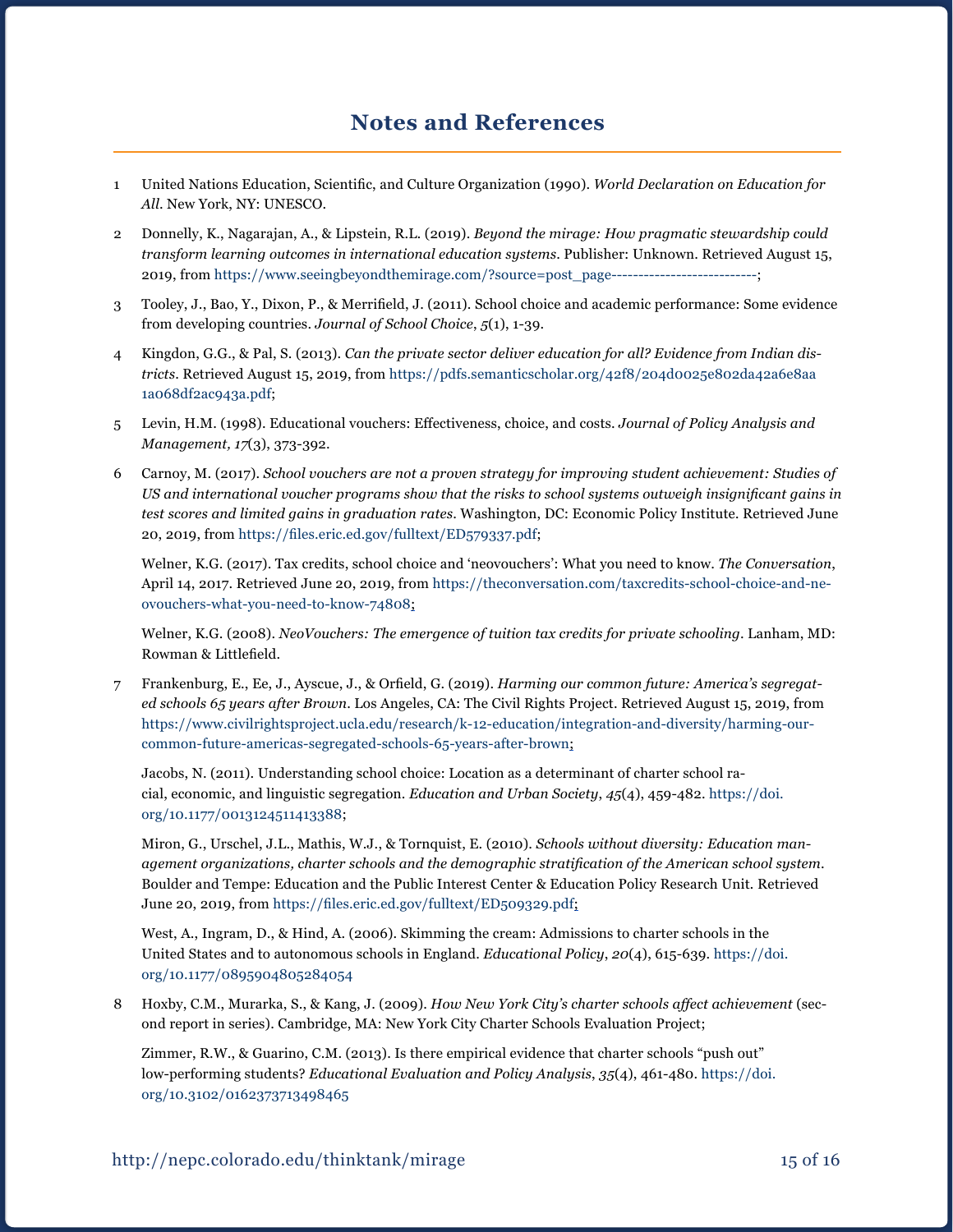- 1 United Nations Education, Scientific, and Culture Organization (1990). *World Declaration on Education for All*. New York, NY: UNESCO.
- 2 Donnelly, K., Nagarajan, A., & Lipstein, R.L*.* (2019). *Beyond the mirage: How pragmatic stewardship could transform learning outcomes in international education systems*. Publisher: Unknown. Retrieved August 15, 2019, from [https://www.seeingbeyondthemirage.com/?source=post\\_page---------------------------;](https://www.seeingbeyondthemirage.com/?source=post_page---------------------------)
- 3 Tooley, J., Bao, Y., Dixon, P., & Merrifield, J. (2011). School choice and academic performance: Some evidence from developing countries. *Journal of School Choice*, *5*(1), 1-39.
- 4 Kingdon, G.G., & Pal, S. (2013). *Can the private sector deliver education for all? Evidence from Indian districts*. Retrieved August 15, 2019, from [https://pdfs.semanticscholar.org/42f8/204d0025e802da42a6e8aa](https://pdfs.semanticscholar.org/42f8/204d0025e802da42a6e8aa1a068df2ac943a.pdf) [1a068df2ac943a.pdf](https://pdfs.semanticscholar.org/42f8/204d0025e802da42a6e8aa1a068df2ac943a.pdf);
- 5 Levin, H.M. (1998). Educational vouchers: Effectiveness, choice, and costs. *Journal of Policy Analysis and Management, 17*(3), 373-392.
- 6 Carnoy, M. (2017). *School vouchers are not a proven strategy for improving student achievement: Studies of US and international voucher programs show that the risks to school systems outweigh insignificant gains in test scores and limited gains in graduation rates*. Washington, DC: Economic Policy Institute*.* Retrieved June 20, 2019, from <https://files.eric.ed.gov/fulltext/ED579337.pdf>;

Welner, K.G. (2017). Tax credits, school choice and 'neovouchers': What you need to know. *The Conversation*, April 14, 2017. Retrieved June 20, 2019, from [https://theconversation.com/taxcredits-school-choice-and-ne](https://theconversation.com/taxcredits-school-choice-and-neovouchers-what-you-need-to-know-74808)[ovouchers-what-you-need-to-know-74808](https://theconversation.com/taxcredits-school-choice-and-neovouchers-what-you-need-to-know-74808);

Welner, K.G. (2008). *NeoVouchers: The emergence of tuition tax credits for private schooling*. Lanham, MD: Rowman & Littlefield.

7 Frankenburg, E., Ee, J., Ayscue, J., & Orfield, G. (2019). *Harming our common future: America's segregated schools 65 years after Brown*. Los Angeles, CA: The Civil Rights Project. Retrieved August 15, 2019, from [https://www.civilrightsproject.ucla.edu/research/k-12-education/integration-and-diversity/harming-our](https://www.civilrightsproject.ucla.edu/research/k-12-education/integration-and-diversity/harming-our-common-future-americas-segregated-schools-65-years-after-brown)[common-future-americas-segregated-schools-65-years-after-brown;](https://www.civilrightsproject.ucla.edu/research/k-12-education/integration-and-diversity/harming-our-common-future-americas-segregated-schools-65-years-after-brown)

Jacobs, N. (2011). Understanding school choice: Location as a determinant of charter school racial, economic, and linguistic segregation. *Education and Urban Society*, *45*(4), 459-482. [https://doi.](https://doi.org/10.1177/0013124511413388) [org/10.1177/0013124511413388;](https://doi.org/10.1177/0013124511413388)

Miron, G., Urschel, J.L., Mathis, W.J., & Tornquist, E. (2010). *Schools without diversity: Education management organizations, charter schools and the demographic stratification of the American school system*. Boulder and Tempe: Education and the Public Interest Center & Education Policy Research Unit*.* Retrieved June 20, 2019, from <https://files.eric.ed.gov/fulltext/ED509329.pdf>;

West, A., Ingram, D., & Hind, A. (2006). Skimming the cream: Admissions to charter schools in the United States and to autonomous schools in England. *Educational Policy*, *20*(4), 615-639. [https://doi.](https://doi.org/10.1177/0895904805284054) [org/10.1177/0895904805284054](https://doi.org/10.1177/0895904805284054)

8 Hoxby, C.M., Murarka, S., & Kang, J. (2009). *How New York City's charter schools affect achievement* (second report in series). Cambridge, MA: New York City Charter Schools Evaluation Project;

Zimmer, R.W., & Guarino, C.M. (2013). Is there empirical evidence that charter schools "push out" low-performing students? *Educational Evaluation and Policy Analysis*, *35*(4), 461-480. [https://doi.](https://doi.org/10.3102/0162373713498465) [org/10.3102/0162373713498465](https://doi.org/10.3102/0162373713498465)